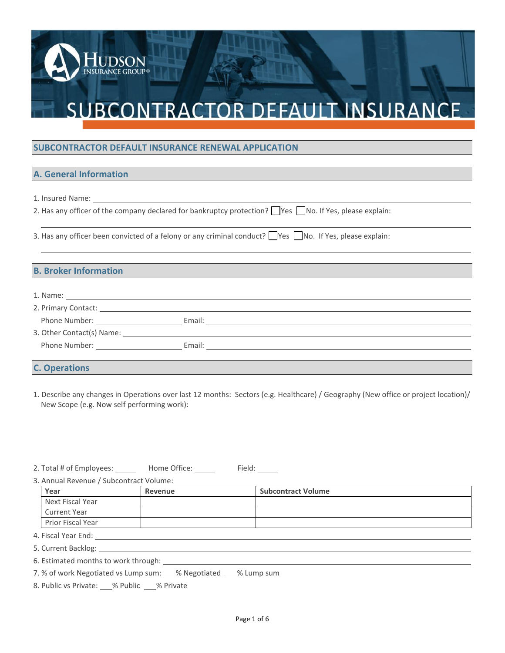### **SUBCONTRACTOR DEFAULT INSURANCE RENEWAL APPLICATION A. General Information**

NSURANCE GROUP®

| <b>A. General Information</b>                                                                                        |  |
|----------------------------------------------------------------------------------------------------------------------|--|
|                                                                                                                      |  |
| 1. Insured Name:                                                                                                     |  |
| 2. Has any officer of the company declared for bankruptcy protection? $\Box$ Yes $\Box$ No. If Yes, please explain:  |  |
| 3. Has any officer been convicted of a felony or any criminal conduct? $\Box$ Yes $\Box$ No. If Yes, please explain: |  |

**B. Has any officer been convicted of a f**<br>**B. Broker Information** 

|                                                                                                                                                                                                                               | 2. Primary Contact: New York 2014 19:30 April 2014 19:30 April 2014 19:30 April 2014 19:30 April 2014 19:30 April 2014 19:30 April 2014 19:30 April 2014 19:30 April 2014 19:30 April 20:30 April 20:30 April 20:30 April 20:3 |
|-------------------------------------------------------------------------------------------------------------------------------------------------------------------------------------------------------------------------------|--------------------------------------------------------------------------------------------------------------------------------------------------------------------------------------------------------------------------------|
| Phone Number: The contract of the contract of the contract of the contract of the contract of the contract of the contract of the contract of the contract of the contract of the contract of the contract of the contract of |                                                                                                                                                                                                                                |
| 3. Other Contact(s) Name:                                                                                                                                                                                                     |                                                                                                                                                                                                                                |
| Phone Number: North School School                                                                                                                                                                                             | Email:                                                                                                                                                                                                                         |
|                                                                                                                                                                                                                               |                                                                                                                                                                                                                                |

### **C. Operations**

1. Describe any changes in Operations over last 12 months: Sectors (e.g. Healthcare) / Geography (New office or project location)/ New Scope (e.g. Now self performing work):

2. Total # of Employees: \_\_\_\_\_\_\_ Home Office: \_\_\_\_\_\_ Field: \_\_\_\_\_

3. Annual Revenue / Subcontract Volume:

| Year                                                                                                            | Revenue | <b>Subcontract Volume</b> |  |  |  |
|-----------------------------------------------------------------------------------------------------------------|---------|---------------------------|--|--|--|
| Next Fiscal Year                                                                                                |         |                           |  |  |  |
| <b>Current Year</b>                                                                                             |         |                           |  |  |  |
| <b>Prior Fiscal Year</b>                                                                                        |         |                           |  |  |  |
| 4. Fiscal Year End: The Same Science of the Science of the Science of the Science of the Science of the Science |         |                           |  |  |  |
|                                                                                                                 |         |                           |  |  |  |
| 6. Estimated months to work through: ____________                                                               |         |                           |  |  |  |
| 7. % of work Negotiated vs Lump sum: 4% Negotiated 4 6% Lump sum                                                |         |                           |  |  |  |

7. % of work Negotiated vs Lump sum: % Negotiated % Lump sum

8. Public vs Private: % Public % Private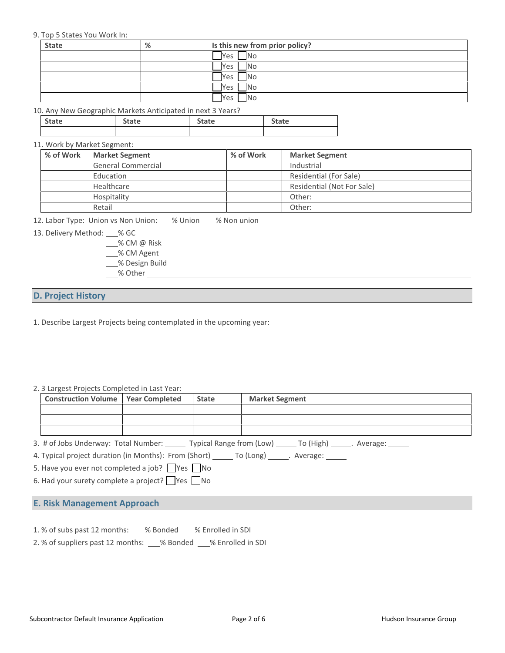| 9. Top 5 States You Work In: |                                                             |                                |              |  |
|------------------------------|-------------------------------------------------------------|--------------------------------|--------------|--|
| <b>State</b>                 | %                                                           | Is this new from prior policy? |              |  |
|                              |                                                             | N <sub>o</sub><br>Yes          |              |  |
|                              |                                                             | <b>No</b><br>Yes               |              |  |
|                              |                                                             | IN <sub>O</sub><br>Yes         |              |  |
|                              |                                                             | IN <sub>o</sub><br>Yes         |              |  |
|                              |                                                             | No.<br>Yes I                   |              |  |
|                              | 10. Any New Geographic Markets Anticipated in next 3 Years? |                                |              |  |
| <b>State</b>                 | <b>State</b>                                                | <b>State</b>                   | <b>State</b> |  |
|                              |                                                             |                                |              |  |

|                             | 10. Any New Geographic Markets Anticipated in next 3 Years? |              |              |  |  |  |  |
|-----------------------------|-------------------------------------------------------------|--------------|--------------|--|--|--|--|
| <b>State</b>                | <b>State</b>                                                | <b>State</b> | <b>State</b> |  |  |  |  |
|                             |                                                             |              |              |  |  |  |  |
| 11. Work by Market Segment: |                                                             |              |              |  |  |  |  |

| % of Work | <b>Market Segment</b>                                                      | % of Work | <b>Market Segment</b>                |  |
|-----------|----------------------------------------------------------------------------|-----------|--------------------------------------|--|
|           | General Commercial                                                         |           | Industrial<br>Residential (For Sale) |  |
|           | Education                                                                  |           |                                      |  |
|           | Healthcare                                                                 |           | Residential (Not For Sale)           |  |
|           | Hospitality                                                                |           | Other:                               |  |
|           | Retail                                                                     |           | Other:                               |  |
|           | 12. Labor Type: Union vs Non Union: % Union % Non union                    |           |                                      |  |
|           | 13. Delivery Method: % GC                                                  |           |                                      |  |
|           | $\_\_\%$ CM @ Risk                                                         |           |                                      |  |
|           | $\bigcap_{n=1}^{\infty}$ $\bigcap_{n=1}^{\infty}$ $\bigcap_{n=1}^{\infty}$ |           |                                      |  |

- % CM @ Risk
- \_\_% CM Agent
- % Design Build
- % Other

# **D. Project History**<br> **D. Project History**

**D. Project History**<br>
1. Describe Largest Projects being contemplated in the upcoming year:

| 2. 3 Largest Projects Completed in Last Year:                                                     |  |              |                                                                                                               |  |  |
|---------------------------------------------------------------------------------------------------|--|--------------|---------------------------------------------------------------------------------------------------------------|--|--|
| <b>Construction Volume   Year Completed</b>                                                       |  | <b>State</b> | <b>Market Segment</b>                                                                                         |  |  |
|                                                                                                   |  |              |                                                                                                               |  |  |
|                                                                                                   |  |              |                                                                                                               |  |  |
|                                                                                                   |  |              |                                                                                                               |  |  |
|                                                                                                   |  |              | 3. # of Jobs Underway: Total Number: _______ Typical Range from (Low) ______ To (High) ______. Average: _____ |  |  |
| 4. Typical project duration (in Months): From (Short) _______ To (Long) _______. Average: _______ |  |              |                                                                                                               |  |  |
| 5. Have you ever not completed a job? $\Box$ Yes $\Box$ No                                        |  |              |                                                                                                               |  |  |
| 6. Had your surety complete a project? $\Box$ Yes $\Box$ No                                       |  |              |                                                                                                               |  |  |
|                                                                                                   |  |              |                                                                                                               |  |  |

**E. Risk Management Approach**<br> **E. Risk Management Approach**<br> **E. Risk Management Approach**<br> **E. Risk Management Approach**<br> **E. Risk Management Approach**<br> **E. Risk Management Approach**<br> **E. Risk Management Approach**<br> **E.** 

- 
- 1. % of subs past 12 months: 2. % Bonded 3. % Enrolled in SDI<br>1. % of subs past 12 months: 2. % Bonded 3. % Enrolled in SDI<br>2. % of suppliers past 12 months: 2. % Bonded 3. % Enrolled in SDI **E. Risk Management Approach**<br>1. % of subs past 12 months: \_\_\_% Bonded \_\_\_% Enrolled in SDI<br>2. % of suppliers past 12 months: \_\_\_% Bonded \_\_\_% Enrolled in SDI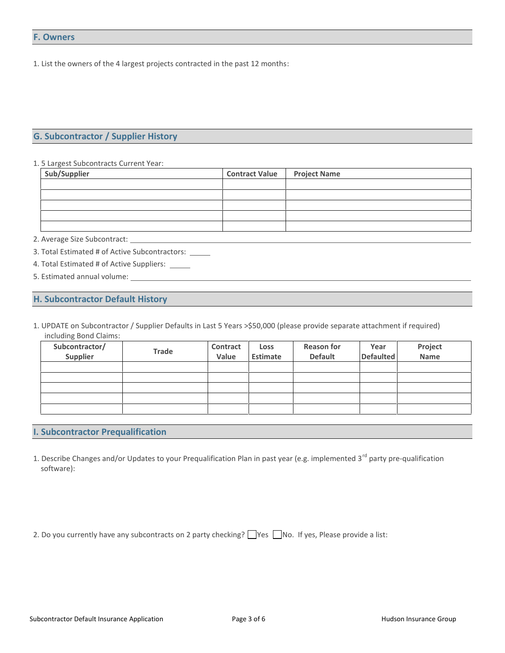1. List the owners of the 4 largest projects contracted in the past 12 months:

### **G. Subcontractor / Supplier History G. Subcontractor / Supplier History**<br>1. 5 Largest Subcontracts Current Year:

| Sub/Supplier                                         | <b>Contract Value</b> | <b>Project Name</b> |  |  |
|------------------------------------------------------|-----------------------|---------------------|--|--|
|                                                      |                       |                     |  |  |
|                                                      |                       |                     |  |  |
|                                                      |                       |                     |  |  |
|                                                      |                       |                     |  |  |
|                                                      |                       |                     |  |  |
|                                                      |                       |                     |  |  |
| 3. Total Estimated # of Active Subcontractors: _____ |                       |                     |  |  |
| 4. Total Estimated # of Active Suppliers: _____      |                       |                     |  |  |
|                                                      |                       |                     |  |  |

- 5. Estimated annual volume: 2. Average size subcommact. <u>Constant Constant Constant Constant Constant Constant Constant Constant Constant Constant Constant Constant Constant Constant Constant Constant Constant Constant Constant Constant Constant Cons</u>
- 
- 

1. UPDATE on Subcontractor / Supplier Defaults in Last 5 Years >\$50,000 (please provide separate attachment if required) including Bond Claims:

| Subcontractor/<br>Supplier | Trade | Contract<br>Value | <b>Loss</b><br>Estimate | <b>Reason for</b><br><b>Default</b> | Year<br><b>Defaulted</b> | Project<br>Name |
|----------------------------|-------|-------------------|-------------------------|-------------------------------------|--------------------------|-----------------|
|                            |       |                   |                         |                                     |                          |                 |
|                            |       |                   |                         |                                     |                          |                 |
|                            |       |                   |                         |                                     |                          |                 |
|                            |       |                   |                         |                                     |                          |                 |
|                            |       |                   |                         |                                     |                          |                 |

### **I. Subcontractor Prequalification**

- 1. Describe Changes and/or Updates to your Prequalification Plan in past year (e.g. implemented 3<sup>rd</sup> party pre-qualification software):
- 2. Do you currently have any subcontracts on 2 party checking?  $\Box$  Yes  $\Box$  No. If yes, Please provide a list: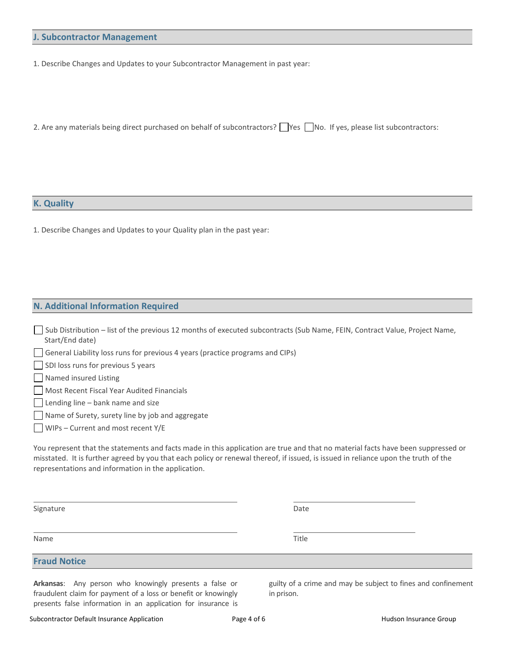# **J. Subcontractor Management**

1. Describe Changes and Updates to your Subcontractor Management in past year:

2. Are any materials being direct purchased on behalf of subcontractors?  $\Box$  Yes  $\Box$  No. If yes, please list subcontractors:

# **K. Quality**

1. Describe Changes and Updates to your Quality plan in the past year:

# **N. Additional Information Required**

| Sub Distribution – list of the previous 12 months of executed subcontracts (Sub Name, FEIN, Contract Value, Project Name, |  |
|---------------------------------------------------------------------------------------------------------------------------|--|
| Start/End date)                                                                                                           |  |

General Liability loss runs for previous 4 years (practice programs and CIPs)

SDI loss runs for previous 5 years

**Named insured Listing** 

Most Recent Fiscal Year Audited Financials

 $\Box$  Lending line – bank name and size

Name of Surety, surety line by job and aggregate

WIPs – Current and most recent Y/E

You represent that the statements and facts made in this application are true and that no material facts have been suppressed or misstated. It is further agreed by you that each policy or renewal thereof, if issued, is issued in reliance upon the truth of the representations and information in the application.

Signature **Date** 

Name **Name is a struckly assumed to the Contract of the Contract of the Contract of Title** 

**Fraud Notice**

**Arkansas**: Any person who knowingly presents a false or fraudulent claim for payment of a loss or benefit or knowingly presents false information in an application for insurance is guilty of a crime and may be subject to fines and confinement in prison.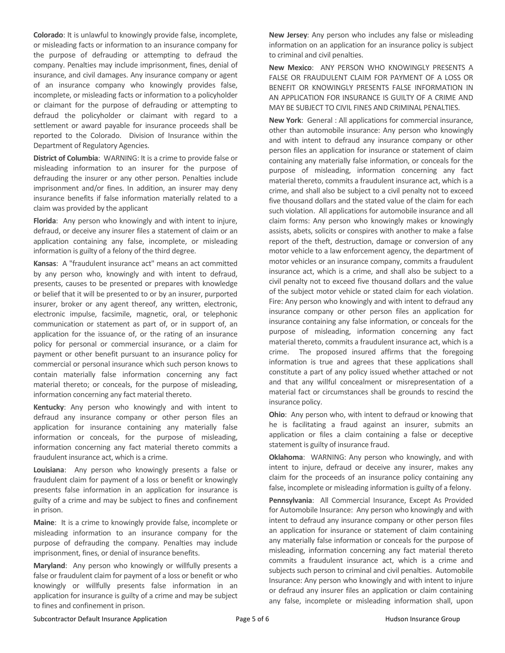**Colorado**: It is unlawful to knowingly provide false, incomplete, or misleading facts or information to an insurance company for the purpose of defrauding or attempting to defraud the company. Penalties may include imprisonment, fines, denial of insurance, and civil damages. Any insurance company or agent of an insurance company who knowingly provides false, incomplete, or misleading facts or information to a policyholder or claimant for the purpose of defrauding or attempting to defraud the policyholder or claimant with regard to a settlement or award payable for insurance proceeds shall be reported to the Colorado. Division of Insurance within the Department of Regulatory Agencies.

**District of Columbia**: WARNING: It is a crime to provide false or misleading information to an insurer for the purpose of defrauding the insurer or any other person. Penalties include imprisonment and/or fines. In addition, an insurer may deny insurance benefits if false information materially related to a claim was provided by the applicant

**Florida**: Any person who knowingly and with intent to injure, defraud, or deceive any insurer files a statement of claim or an application containing any false, incomplete, or misleading information is guilty of a felony of the third degree.

**Kansas**: A "fraudulent insurance act" means an act committed by any person who, knowingly and with intent to defraud, presents, causes to be presented or prepares with knowledge or belief that it will be presented to or by an insurer, purported insurer, broker or any agent thereof, any written, electronic, electronic impulse, facsimile, magnetic, oral, or telephonic communication or statement as part of, or in support of, an application for the issuance of, or the rating of an insurance policy for personal or commercial insurance, or a claim for payment or other benefit pursuant to an insurance policy for commercial or personal insurance which such person knows to contain materially false information concerning any fact material thereto; or conceals, for the purpose of misleading, information concerning any fact material thereto.

**Kentucky**: Any person who knowingly and with intent to defraud any insurance company or other person files an application for insurance containing any materially false information or conceals, for the purpose of misleading, information concerning any fact material thereto commits a fraudulent insurance act, which is a crime.

**Louisiana**: Any person who knowingly presents a false or fraudulent claim for payment of a loss or benefit or knowingly presents false information in an application for insurance is guilty of a crime and may be subject to fines and confinement in prison.

**Maine**: It is a crime to knowingly provide false, incomplete or misleading information to an insurance company for the purpose of defrauding the company. Penalties may include imprisonment, fines, or denial of insurance benefits.

**Maryland**: Any person who knowingly or willfully presents a false or fraudulent claim for payment of a loss or benefit or who knowingly or willfully presents false information in an application for insurance is guilty of a crime and may be subject to fines and confinement in prison.

**New Jersey**: Any person who includes any false or misleading information on an application for an insurance policy is subject to criminal and civil penalties.

**New Mexico**: ANY PERSON WHO KNOWINGLY PRESENTS A FALSE OR FRAUDULENT CLAIM FOR PAYMENT OF A LOSS OR BENEFIT OR KNOWINGLY PRESENTS FALSE INFORMATION IN AN APPLICATION FOR INSURANCE IS GUILTY OF A CRIME AND MAY BE SUBJECT TO CIVIL FINES AND CRIMINAL PENALTIES.

**New York**: General : All applications for commercial insurance, other than automobile insurance: Any person who knowingly and with intent to defraud any insurance company or other person files an application for insurance or statement of claim containing any materially false information, or conceals for the purpose of misleading, information concerning any fact material thereto, commits a fraudulent insurance act, which is a crime, and shall also be subject to a civil penalty not to exceed five thousand dollars and the stated value of the claim for each such violation. All applications for automobile insurance and all claim forms: Any person who knowingly makes or knowingly assists, abets, solicits or conspires with another to make a false report of the theft, destruction, damage or conversion of any motor vehicle to a law enforcement agency, the department of motor vehicles or an insurance company, commits a fraudulent insurance act, which is a crime, and shall also be subject to a civil penalty not to exceed five thousand dollars and the value of the subject motor vehicle or stated claim for each violation. Fire: Any person who knowingly and with intent to defraud any insurance company or other person files an application for insurance containing any false information, or conceals for the purpose of misleading, information concerning any fact material thereto, commits a fraudulent insurance act, which is a crime. The proposed insured affirms that the foregoing information is true and agrees that these applications shall constitute a part of any policy issued whether attached or not and that any willful concealment or misrepresentation of a material fact or circumstances shall be grounds to rescind the insurance policy.

**Ohio**: Any person who, with intent to defraud or knowing that he is facilitating a fraud against an insurer, submits an application or files a claim containing a false or deceptive statement is guilty of insurance fraud.

**Oklahoma**: WARNING: Any person who knowingly, and with intent to injure, defraud or deceive any insurer, makes any claim for the proceeds of an insurance policy containing any false, incomplete or misleading information is guilty of a felony.

**Pennsylvania**: All Commercial Insurance, Except As Provided for Automobile Insurance: Any person who knowingly and with intent to defraud any insurance company or other person files an application for insurance or statement of claim containing any materially false information or conceals for the purpose of misleading, information concerning any fact material thereto commits a fraudulent insurance act, which is a crime and subjects such person to criminal and civil penalties. Automobile Insurance: Any person who knowingly and with intent to injure or defraud any insurer files an application or claim containing any false, incomplete or misleading information shall, upon

Subcontractor Default Insurance Application **Page 5 of 6** Page 5 of 6 **Hudson Insurance Group**